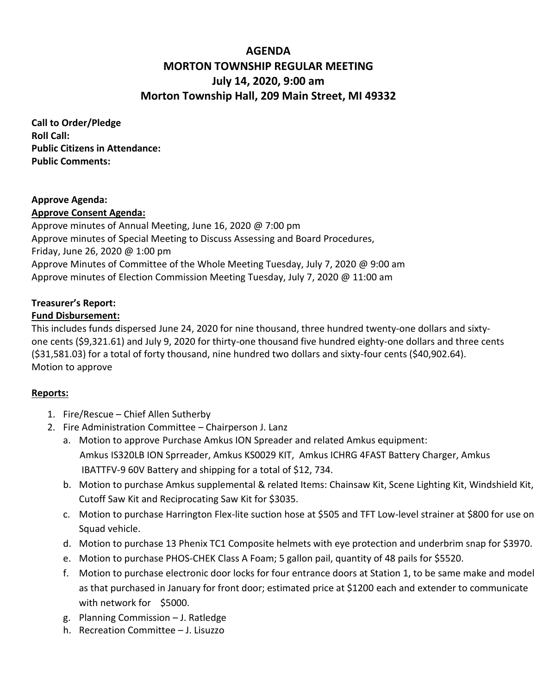# **AGENDA MORTON TOWNSHIP REGULAR MEETING July 14, 2020, 9:00 am Morton Township Hall, 209 Main Street, MI 49332**

**Call to Order/Pledge Roll Call: Public Citizens in Attendance: Public Comments:** 

# **Approve Agenda:**

# **Approve Consent Agenda:**

Approve minutes of Annual Meeting, June 16, 2020 @ 7:00 pm Approve minutes of Special Meeting to Discuss Assessing and Board Procedures, Friday, June 26, 2020 @ 1:00 pm Approve Minutes of Committee of the Whole Meeting Tuesday, July 7, 2020 @ 9:00 am Approve minutes of Election Commission Meeting Tuesday, July 7, 2020 @ 11:00 am

# **Treasurer's Report:**

# **Fund Disbursement:**

This includes funds dispersed June 24, 2020 for nine thousand, three hundred twenty-one dollars and sixtyone cents (\$9,321.61) and July 9, 2020 for thirty-one thousand five hundred eighty-one dollars and three cents (\$31,581.03) for a total of forty thousand, nine hundred two dollars and sixty-four cents (\$40,902.64). Motion to approve

### **Reports:**

- 1. Fire/Rescue Chief Allen Sutherby
- 2. Fire Administration Committee Chairperson J. Lanz
	- a. Motion to approve Purchase Amkus ION Spreader and related Amkus equipment: Amkus IS320LB ION Sprreader, Amkus KS0029 KIT, Amkus ICHRG 4FAST Battery Charger, Amkus IBATTFV-9 60V Battery and shipping for a total of \$12, 734.
	- b. Motion to purchase Amkus supplemental & related Items: Chainsaw Kit, Scene Lighting Kit, Windshield Kit, Cutoff Saw Kit and Reciprocating Saw Kit for \$3035.
	- c. Motion to purchase Harrington Flex-lite suction hose at \$505 and TFT Low-level strainer at \$800 for use on Squad vehicle.
	- d. Motion to purchase 13 Phenix TC1 Composite helmets with eye protection and underbrim snap for \$3970.
	- e. Motion to purchase PHOS-CHEK Class A Foam; 5 gallon pail, quantity of 48 pails for \$5520.
	- f. Motion to purchase electronic door locks for four entrance doors at Station 1, to be same make and model as that purchased in January for front door; estimated price at \$1200 each and extender to communicate with network for \$5000.
	- g. Planning Commission J. Ratledge
	- h. Recreation Committee J. Lisuzzo